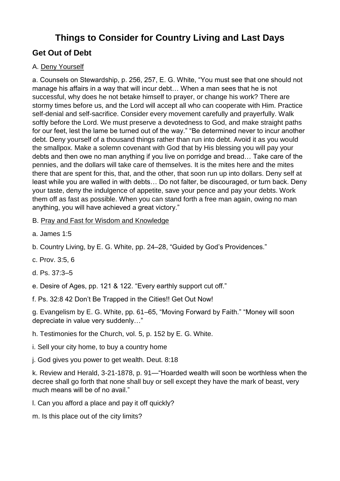## **Things to Consider for Country Living and Last Days**

## **Get Out of Debt**

## A. Deny Yourself

a. Counsels on Stewardship, p. 256, 257, E. G. White, "You must see that one should not manage his affairs in a way that will incur debt… When a man sees that he is not successful, why does he not betake himself to prayer, or change his work? There are stormy times before us, and the Lord will accept all who can cooperate with Him. Practice self-denial and self-sacrifice. Consider every movement carefully and prayerfully. Walk softly before the Lord. We must preserve a devotedness to God, and make straight paths for our feet, lest the lame be turned out of the way." "Be determined never to incur another debt. Deny yourself of a thousand things rather than run into debt. Avoid it as you would the smallpox. Make a solemn covenant with God that by His blessing you will pay your debts and then owe no man anything if you live on porridge and bread… Take care of the pennies, and the dollars will take care of themselves. It is the mites here and the mites there that are spent for this, that, and the other, that soon run up into dollars. Deny self at least while you are walled in with debts… Do not falter, be discouraged, or turn back. Deny your taste, deny the indulgence of appetite, save your pence and pay your debts. Work them off as fast as possible. When you can stand forth a free man again, owing no man anything, you will have achieved a great victory."

- B. Pray and Fast for Wisdom and Knowledge
- a. James 1:5
- b. Country Living, by E. G. White, pp. 24–28, "Guided by God's Providences."
- c. Prov. 3:5, 6
- d. Ps. 37:3–5
- e. Desire of Ages, pp. 121 & 122. "Every earthly support cut off."
- f. Ps. 32:8 42 Don't Be Trapped in the Cities!! Get Out Now!

g. Evangelism by E. G. White, pp. 61–65, "Moving Forward by Faith." "Money will soon depreciate in value very suddenly…"

- h. Testimonies for the Church, vol. 5, p. 152 by E. G. White.
- i. Sell your city home, to buy a country home
- j. God gives you power to get wealth. Deut. 8:18

k. Review and Herald, 3-21-1878, p. 91—"Hoarded wealth will soon be worthless when the decree shall go forth that none shall buy or sell except they have the mark of beast, very much means will be of no avail."

- l. Can you afford a place and pay it off quickly?
- m. Is this place out of the city limits?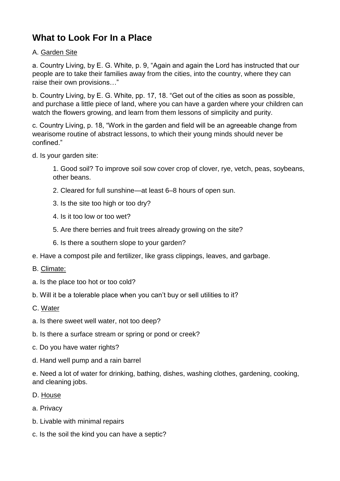# **What to Look For In a Place**

## A. Garden Site

a. Country Living, by E. G. White, p. 9, "Again and again the Lord has instructed that our people are to take their families away from the cities, into the country, where they can raise their own provisions…"

b. Country Living, by E. G. White, pp. 17, 18. "Get out of the cities as soon as possible, and purchase a little piece of land, where you can have a garden where your children can watch the flowers growing, and learn from them lessons of simplicity and purity.

c. Country Living, p. 18, "Work in the garden and field will be an agreeable change from wearisome routine of abstract lessons, to which their young minds should never be confined."

d. Is your garden site:

1. Good soil? To improve soil sow cover crop of clover, rye, vetch, peas, soybeans, other beans.

- 2. Cleared for full sunshine—at least 6–8 hours of open sun.
- 3. Is the site too high or too dry?
- 4. Is it too low or too wet?
- 5. Are there berries and fruit trees already growing on the site?
- 6. Is there a southern slope to your garden?
- e. Have a compost pile and fertilizer, like grass clippings, leaves, and garbage.
- B. Climate:
- a. Is the place too hot or too cold?
- b. Will it be a tolerable place when you can't buy or sell utilities to it?
- C. Water
- a. Is there sweet well water, not too deep?
- b. Is there a surface stream or spring or pond or creek?
- c. Do you have water rights?
- d. Hand well pump and a rain barrel

e. Need a lot of water for drinking, bathing, dishes, washing clothes, gardening, cooking, and cleaning jobs.

- D. House
- a. Privacy
- b. Livable with minimal repairs
- c. Is the soil the kind you can have a septic?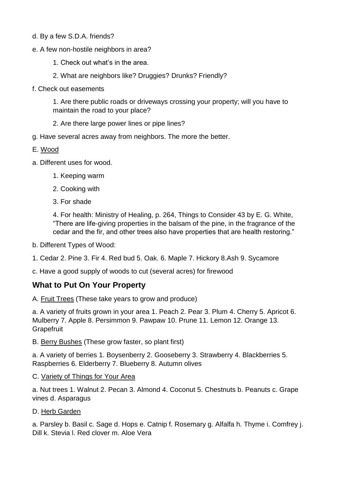- d. By a few S.D.A. friends?
- e. A few non-hostile neighbors in area?
	- 1. Check out what's in the area.
	- 2. What are neighbors like? Druggies? Drunks? Friendly?
- f. Check out easements

1. Are there public roads or driveways crossing your property; will you have to maintain the road to your place?

- 2. Are there large power lines or pipe lines?
- g. Have several acres away from neighbors. The more the better.
- E. Wood
- a. Different uses for wood.
	- 1. Keeping warm
	- 2. Cooking with
	- 3. For shade

4. For health: Ministry of Healing, p. 264, Things to Consider 43 by E. G. White, "There are life-giving properties in the balsam of the pine, in the fragrance of the cedar and the fir, and other trees also have properties that are health restoring."

b. Different Types of Wood:

1. Cedar 2. Pine 3. Fir 4. Red bud 5. Oak. 6. Maple 7. Hickory 8.Ash 9. Sycamore

c. Have a good supply of woods to cut (several acres) for firewood

## **What to Put On Your Property**

A. Fruit Trees (These take years to grow and produce)

a. A variety of fruits grown in your area 1. Peach 2. Pear 3. Plum 4. Cherry 5. Apricot 6. Mulberry 7. Apple 8. Persimmon 9. Pawpaw 10. Prune 11. Lemon 12. Orange 13. **Grapefruit** 

B. Berry Bushes (These grow faster, so plant first)

a. A variety of berries 1. Boysenberry 2. Gooseberry 3. Strawberry 4. Blackberries 5. Raspberries 6. Elderberry 7. Blueberry 8. Autumn olives

C. Variety of Things for Your Area

a. Nut trees 1. Walnut 2. Pecan 3. Almond 4. Coconut 5. Chestnuts b. Peanuts c. Grape vines d. Asparagus

#### D. Herb Garden

a. Parsley b. Basil c. Sage d. Hops e. Catnip f. Rosemary g. Alfalfa h. Thyme i. Comfrey j. Dill k. Stevia l. Red clover m. Aloe Vera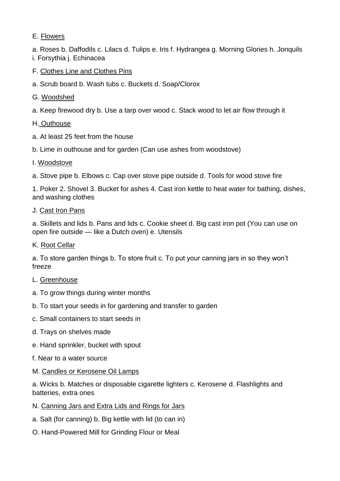## E. Flowers

a. Roses b. Daffodils c. Lilacs d. Tulips e. Iris f. Hydrangea g. Morning Glories h. Jonquils i. Forsythia j. Echinacea

F. Clothes Line and Clothes Pins

- a. Scrub board b. Wash tubs c. Buckets d. Soap/Clorox
- G. Woodshed
- a. Keep firewood dry b. Use a tarp over wood c. Stack wood to let air flow through it
- H. Outhouse
- a. At least 25 feet from the house
- b. Lime in outhouse and for garden (Can use ashes from woodstove)
- I. Woodstove

a. Stove pipe b. Elbows c. Cap over stove pipe outside d. Tools for wood stove fire

1. Poker 2. Shovel 3. Bucket for ashes 4. Cast iron kettle to heat water for bathing, dishes, and washing clothes

J. Cast Iron Pans

a. Skillets and lids b. Pans and lids c. Cookie sheet d. Big cast iron pot (You can use on open fire outside — like a Dutch oven) e. Utensils

K. Root Cellar

a. To store garden things b. To store fruit c. To put your canning jars in so they won't freeze

- L. Greenhouse
- a. To grow things during winter months
- b. To start your seeds in for gardening and transfer to garden
- c. Small containers to start seeds in
- d. Trays on shelves made
- e. Hand sprinkler, bucket with spout
- f. Near to a water source
- M. Candles or Kerosene Oil Lamps

a. Wicks b. Matches or disposable cigarette lighters c. Kerosene d. Flashlights and batteries, extra ones

- N. Canning Jars and Extra Lids and Rings for Jars
- a. Salt (for canning) b. Big kettle with lid (to can in)
- O. Hand-Powered Mill for Grinding Flour or Meal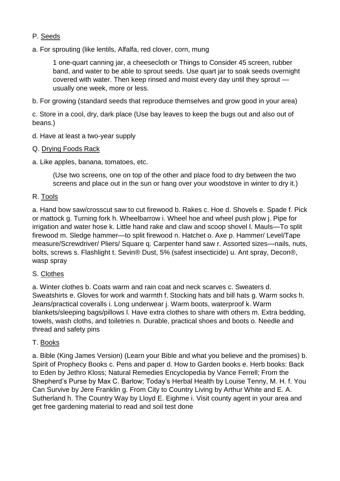## P. Seeds

a. For sprouting (like lentils, Alfalfa, red clover, corn, mung

1 one-quart canning jar, a cheesecloth or Things to Consider 45 screen, rubber band, and water to be able to sprout seeds. Use quart jar to soak seeds overnight covered with water. Then keep rinsed and moist every day until they sprout usually one week, more or less.

b. For growing (standard seeds that reproduce themselves and grow good in your area)

c. Store in a cool, dry, dark place (Use bay leaves to keep the bugs out and also out of beans.)

- d. Have at least a two-year supply
- Q. Drying Foods Rack
- a. Like apples, banana, tomatoes, etc.

(Use two screens, one on top of the other and place food to dry between the two screens and place out in the sun or hang over your woodstove in winter to dry it.)

## R. Tools

a. Hand bow saw/crosscut saw to cut firewood b. Rakes c. Hoe d. Shovels e. Spade f. Pick or mattock g. Turning fork h. Wheelbarrow i. Wheel hoe and wheel push plow j. Pipe for irrigation and water hose k. Little hand rake and claw and scoop shovel l. Mauls—To split firewood m. Sledge hammer—to split firewood n. Hatchet o. Axe p. Hammer/ Level/Tape measure/Screwdriver/ Pliers/ Square q. Carpenter hand saw r. Assorted sizes—nails, nuts, bolts, screws s. Flashlight t. Sevin® Dust, 5% (safest insecticide) u. Ant spray, Decon®, wasp spray

## S. Clothes

a. Winter clothes b. Coats warm and rain coat and neck scarves c. Sweaters d. Sweatshirts e. Gloves for work and warmth f. Stocking hats and bill hats g. Warm socks h. Jeans/practical coveralls i. Long underwear j. Warm boots, waterproof k. Warm blankets/sleeping bags/pillows l. Have extra clothes to share with others m. Extra bedding, towels, wash cloths, and toiletries n. Durable, practical shoes and boots o. Needle and thread and safety pins

## T. Books

a. Bible (King James Version) (Learn your Bible and what you believe and the promises) b. Spirit of Prophecy Books c. Pens and paper d. How to Garden books e. Herb books: Back to Eden by Jethro Kloss; Natural Remedies Encyclopedia by Vance Ferrell; From the Shepherd's Purse by Max C. Barlow; Today's Herbal Health by Louise Tenny, M. H. f. You Can Survive by Jere Franklin g. From City to Country Living by Arthur White and E. A. Sutherland h. The Country Way by Lloyd E. Eighme i. Visit county agent in your area and get free gardening material to read and soil test done